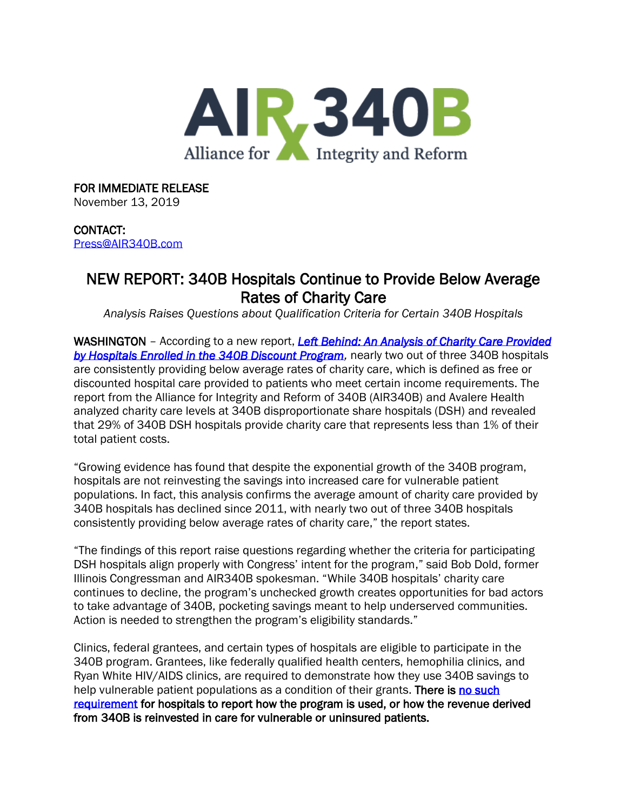

## FOR IMMEDIATE RELEASE

November 13, 2019

### CONTACT:

[Press@AIR340B.com](mailto:Press@AIR340B.com)

# NEW REPORT: 340B Hospitals Continue to Provide Below Average Rates of Charity Care

*Analysis Raises Questions about Qualification Criteria for Certain 340B Hospitals*

WASHINGTON – According to a new report, *[Left Behind: An Analysis of Charity Care Provided](https://340breform.org/wp-content/uploads/2019/11/AIR340_LeftBehind-v6.pdf)*  **by Hospitals Enrolled in the 340B Discount Program**, nearly two out of three 340B hospitals are consistently providing below average rates of charity care, which is defined as free or discounted hospital care provided to patients who meet certain income requirements. The report from the Alliance for Integrity and Reform of 340B (AIR340B) and Avalere Health analyzed charity care levels at 340B disproportionate share hospitals (DSH) and revealed that 29% of 340B DSH hospitals provide charity care that represents less than 1% of their total patient costs.

"Growing evidence has found that despite the exponential growth of the 340B program, hospitals are not reinvesting the savings into increased care for vulnerable patient populations. In fact, this analysis confirms the average amount of charity care provided by 340B hospitals has declined since 2011, with nearly two out of three 340B hospitals consistently providing below average rates of charity care," the report states.

"The findings of this report raise questions regarding whether the criteria for participating DSH hospitals align properly with Congress' intent for the program," said Bob Dold, former Illinois Congressman and AIR340B spokesman. "While 340B hospitals' charity care continues to decline, the program's unchecked growth creates opportunities for bad actors to take advantage of 340B, pocketing savings meant to help underserved communities. Action is needed to strengthen the program's eligibility standards."

Clinics, federal grantees, and certain types of hospitals are eligible to participate in the 340B program. Grantees, like federally qualified health centers, hemophilia clinics, and Ryan White HIV/AIDS clinics, are required to demonstrate how they use 340B savings to help vulnerable patient populations as a condition of their grants. There is no such [requirement](https://www.hrsa.gov/sites/default/files/opa/programrequirements/phsactsection340b.pdf) for hospitals to report how the program is used, or how the revenue derived from 340B is reinvested in care for vulnerable or uninsured patients.